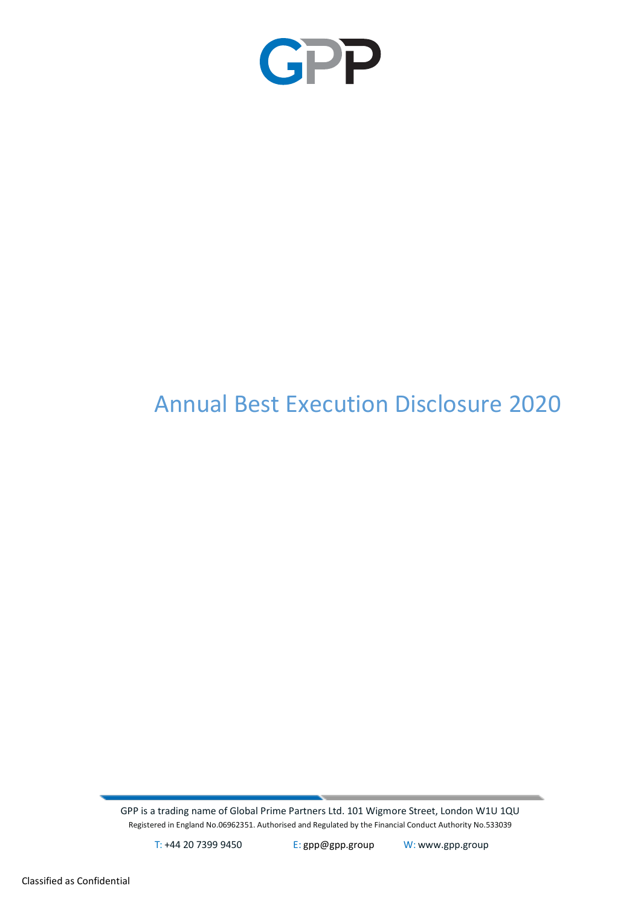

# Annual Best Execution Disclosure 2020

GPP is a trading name of Global Prime Partners Ltd. 101 Wigmore Street, London W1U 1QU Registered in England No.06962351. Authorised and Regulated by the Financial Conduct Authority No.533039

T: +44 20 7399 9450 E: [gpp@gpp.group](mailto:gpp@gpp.group) W: [www.gpp.group](http://www.gpp.group/)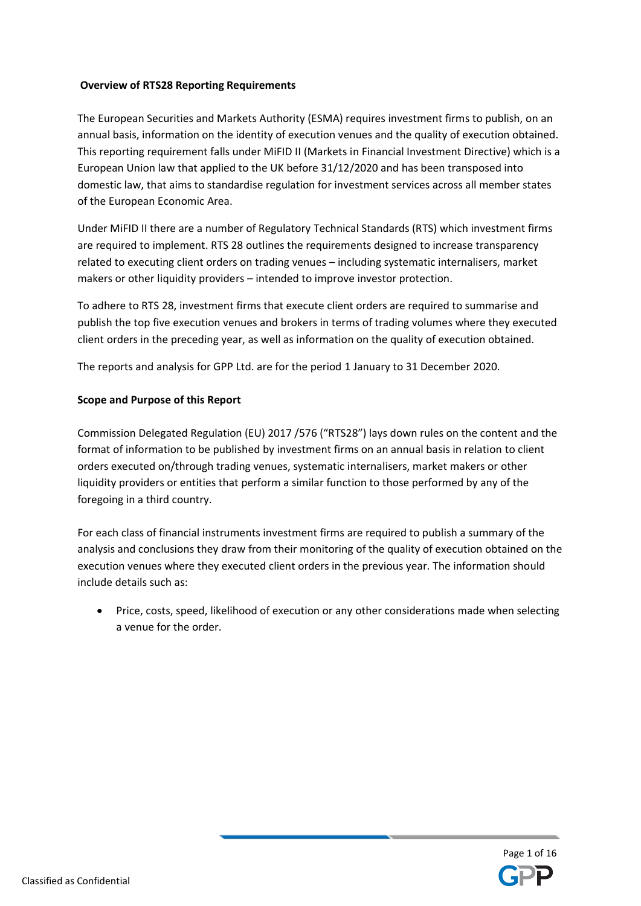## **Overview of RTS28 Reporting Requirements**

The European Securities and Markets Authority (ESMA) requires investment firms to publish, on an annual basis, information on the identity of execution venues and the quality of execution obtained. This reporting requirement falls under MiFID II (Markets in Financial Investment Directive) which is a European Union law that applied to the UK before 31/12/2020 and has been transposed into domestic law, that aims to standardise regulation for investment services across all member states of the European Economic Area.

Under MiFID II there are a number of Regulatory Technical Standards (RTS) which investment firms are required to implement. RTS 28 outlines the requirements designed to increase transparency related to executing client orders on trading venues – including systematic internalisers, market makers or other liquidity providers – intended to improve investor protection.

To adhere to RTS 28, investment firms that execute client orders are required to summarise and publish the top five execution venues and brokers in terms of trading volumes where they executed client orders in the preceding year, as well as information on the quality of execution obtained.

The reports and analysis for GPP Ltd. are for the period 1 January to 31 December 2020.

## **Scope and Purpose of this Report**

Commission Delegated Regulation (EU) 2017 /576 ("RTS28") lays down rules on the content and the format of information to be published by investment firms on an annual basis in relation to client orders executed on/through trading venues, systematic internalisers, market makers or other liquidity providers or entities that perform a similar function to those performed by any of the foregoing in a third country.

For each class of financial instruments investment firms are required to publish a summary of the analysis and conclusions they draw from their monitoring of the quality of execution obtained on the execution venues where they executed client orders in the previous year. The information should include details such as:

• Price, costs, speed, likelihood of execution or any other considerations made when selecting a venue for the order.

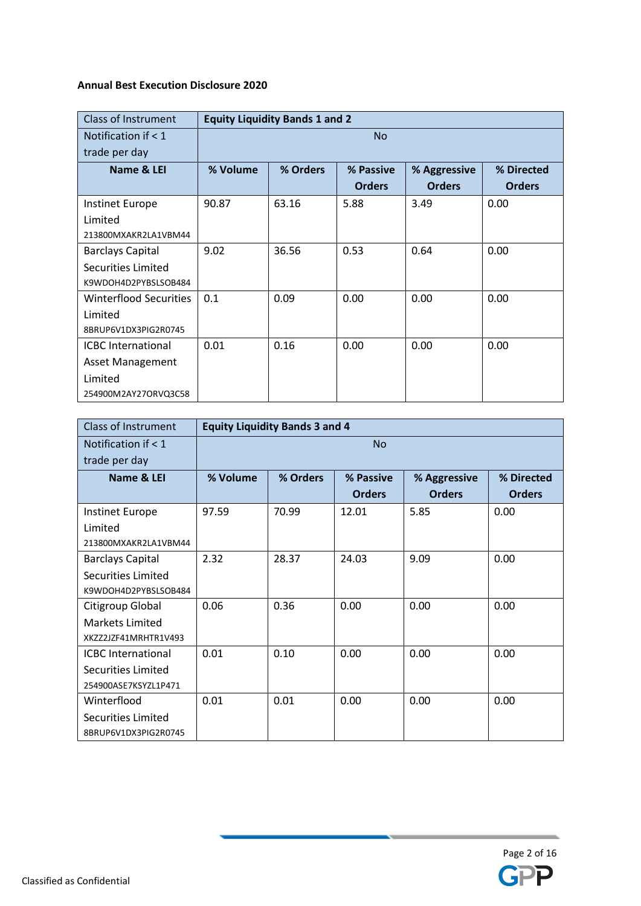## **Annual Best Execution Disclosure 2020**

| <b>Class of Instrument</b>    | <b>Equity Liquidity Bands 1 and 2</b> |           |               |               |               |  |  |
|-------------------------------|---------------------------------------|-----------|---------------|---------------|---------------|--|--|
| Notification if < 1           |                                       | <b>No</b> |               |               |               |  |  |
| trade per day                 |                                       |           |               |               |               |  |  |
| Name & LEI                    | % Volume                              | % Orders  | % Passive     | % Aggressive  | % Directed    |  |  |
|                               |                                       |           | <b>Orders</b> | <b>Orders</b> | <b>Orders</b> |  |  |
| <b>Instinet Europe</b>        | 90.87                                 | 63.16     | 5.88          | 3.49          | 0.00          |  |  |
| Limited                       |                                       |           |               |               |               |  |  |
| 213800MXAKR2LA1VBM44          |                                       |           |               |               |               |  |  |
| <b>Barclays Capital</b>       | 9.02                                  | 36.56     | 0.53          | 0.64          | 0.00          |  |  |
| Securities Limited            |                                       |           |               |               |               |  |  |
| K9WDOH4D2PYBSLSOB484          |                                       |           |               |               |               |  |  |
| <b>Winterflood Securities</b> | 0.1                                   | 0.09      | 0.00          | 0.00          | 0.00          |  |  |
| Limited                       |                                       |           |               |               |               |  |  |
| 8BRUP6V1DX3PIG2R0745          |                                       |           |               |               |               |  |  |
| <b>ICBC</b> International     | 0.01                                  | 0.16      | 0.00          | 0.00          | 0.00          |  |  |
| <b>Asset Management</b>       |                                       |           |               |               |               |  |  |
| Limited                       |                                       |           |               |               |               |  |  |
| 254900M2AY27ORVQ3C58          |                                       |           |               |               |               |  |  |

| <b>Class of Instrument</b>                 |          | <b>Equity Liquidity Bands 3 and 4</b> |               |               |               |  |  |
|--------------------------------------------|----------|---------------------------------------|---------------|---------------|---------------|--|--|
| Notification if $<$ 1                      |          | <b>No</b>                             |               |               |               |  |  |
| trade per day                              |          |                                       |               |               |               |  |  |
| Name & LEI                                 | % Volume | % Orders                              | % Passive     | % Aggressive  | % Directed    |  |  |
|                                            |          |                                       | <b>Orders</b> | <b>Orders</b> | <b>Orders</b> |  |  |
| Instinet Europe                            | 97.59    | 70.99                                 | 12.01         | 5.85          | 0.00          |  |  |
| Limited                                    |          |                                       |               |               |               |  |  |
| 213800MXAKR2LA1VBM44                       |          |                                       |               |               |               |  |  |
| <b>Barclays Capital</b>                    | 2.32     | 28.37                                 | 24.03         | 9.09          | 0.00          |  |  |
| Securities Limited                         |          |                                       |               |               |               |  |  |
| K9WDOH4D2PYBSLSOB484                       |          |                                       |               |               |               |  |  |
| Citigroup Global                           | 0.06     | 0.36                                  | 0.00          | 0.00          | 0.00          |  |  |
| <b>Markets Limited</b>                     |          |                                       |               |               |               |  |  |
| XKZZ2JZF41MRHTR1V493                       |          |                                       |               |               |               |  |  |
| <b>ICBC</b> International                  | 0.01     | 0.10                                  | 0.00          | 0.00          | 0.00          |  |  |
| Securities Limited                         |          |                                       |               |               |               |  |  |
| 254900ASE7KSYZL1P471                       |          |                                       |               |               |               |  |  |
| Winterflood                                | 0.01     | 0.01                                  | 0.00          | 0.00          | 0.00          |  |  |
| Securities Limited<br>8BRUP6V1DX3PIG2R0745 |          |                                       |               |               |               |  |  |

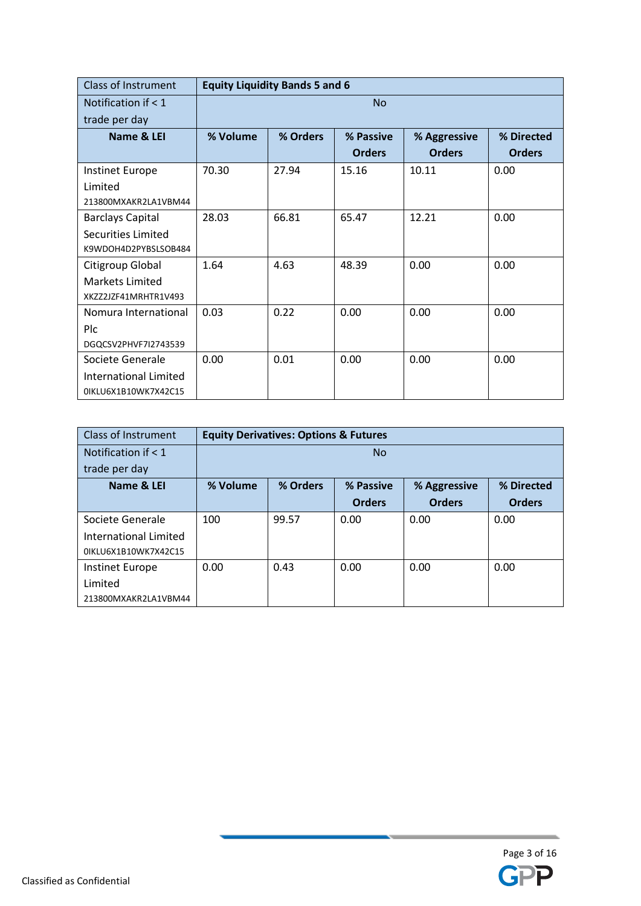| Class of Instrument          |           | <b>Equity Liquidity Bands 5 and 6</b>               |               |               |               |  |  |  |
|------------------------------|-----------|-----------------------------------------------------|---------------|---------------|---------------|--|--|--|
| Notification if $< 1$        | <b>No</b> |                                                     |               |               |               |  |  |  |
| trade per day                |           |                                                     |               |               |               |  |  |  |
| Name & LEI                   | % Volume  | % Orders<br>% Passive<br>% Directed<br>% Aggressive |               |               |               |  |  |  |
|                              |           |                                                     | <b>Orders</b> | <b>Orders</b> | <b>Orders</b> |  |  |  |
| <b>Instinet Europe</b>       | 70.30     | 27.94                                               | 15.16         | 10.11         | 0.00          |  |  |  |
| Limited                      |           |                                                     |               |               |               |  |  |  |
| 213800MXAKR2LA1VBM44         |           |                                                     |               |               |               |  |  |  |
| <b>Barclays Capital</b>      | 28.03     | 66.81                                               | 65.47         | 12.21         | 0.00          |  |  |  |
| Securities Limited           |           |                                                     |               |               |               |  |  |  |
| K9WDOH4D2PYBSLSOB484         |           |                                                     |               |               |               |  |  |  |
| Citigroup Global             | 1.64      | 4.63                                                | 48.39         | 0.00          | 0.00          |  |  |  |
| Markets Limited              |           |                                                     |               |               |               |  |  |  |
| XKZZ2JZF41MRHTR1V493         |           |                                                     |               |               |               |  |  |  |
| Nomura International         | 0.03      | 0.22                                                | 0.00          | 0.00          | 0.00          |  |  |  |
| Plc                          |           |                                                     |               |               |               |  |  |  |
| DGQCSV2PHVF7I2743539         |           |                                                     |               |               |               |  |  |  |
| Societe Generale             | 0.00      | 0.01                                                | 0.00          | 0.00          | 0.00          |  |  |  |
| <b>International Limited</b> |           |                                                     |               |               |               |  |  |  |
| 0IKLU6X1B10WK7X42C15         |           |                                                     |               |               |               |  |  |  |

| <b>Class of Instrument</b> |          | <b>Equity Derivatives: Options &amp; Futures</b> |               |               |               |  |  |
|----------------------------|----------|--------------------------------------------------|---------------|---------------|---------------|--|--|
| Notification if $< 1$      |          | <b>No</b>                                        |               |               |               |  |  |
| trade per day              |          |                                                  |               |               |               |  |  |
| Name & LEI                 | % Volume | % Orders                                         | % Passive     | % Aggressive  | % Directed    |  |  |
|                            |          |                                                  | <b>Orders</b> | <b>Orders</b> | <b>Orders</b> |  |  |
| Societe Generale           | 100      | 99.57                                            | 0.00          | 0.00          | 0.00          |  |  |
| International Limited      |          |                                                  |               |               |               |  |  |
| 0IKLU6X1B10WK7X42C15       |          |                                                  |               |               |               |  |  |
| Instinet Europe            | 0.00     | 0.43                                             | 0.00          | 0.00          | 0.00          |  |  |
| Limited                    |          |                                                  |               |               |               |  |  |
| 213800MXAKR2LA1VBM44       |          |                                                  |               |               |               |  |  |

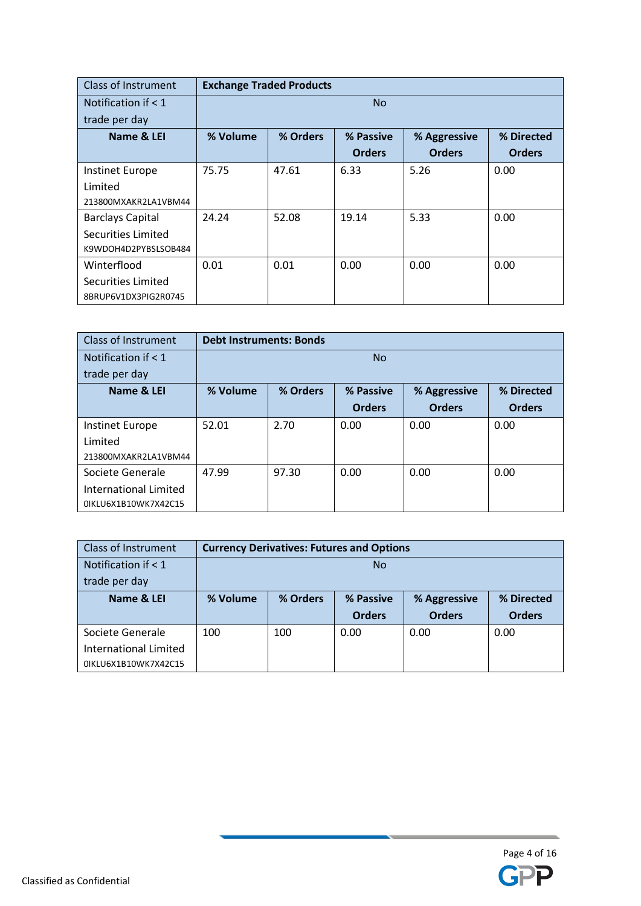| <b>Class of Instrument</b> |           | <b>Exchange Traded Products</b> |               |               |               |  |  |
|----------------------------|-----------|---------------------------------|---------------|---------------|---------------|--|--|
| Notification if $<$ 1      | <b>No</b> |                                 |               |               |               |  |  |
| trade per day              |           |                                 |               |               |               |  |  |
| Name & LEI                 | % Volume  | % Orders                        | % Passive     | % Aggressive  | % Directed    |  |  |
|                            |           |                                 | <b>Orders</b> | <b>Orders</b> | <b>Orders</b> |  |  |
| Instinet Europe            | 75.75     | 47.61                           | 6.33          | 5.26          | 0.00          |  |  |
| Limited                    |           |                                 |               |               |               |  |  |
| 213800MXAKR2LA1VBM44       |           |                                 |               |               |               |  |  |
| <b>Barclays Capital</b>    | 24.24     | 52.08                           | 19.14         | 5.33          | 0.00          |  |  |
| Securities Limited         |           |                                 |               |               |               |  |  |
| K9WDOH4D2PYBSLSOB484       |           |                                 |               |               |               |  |  |
| Winterflood                | 0.01      | 0.01                            | 0.00          | 0.00          | 0.00          |  |  |
| Securities Limited         |           |                                 |               |               |               |  |  |
| 8BRUP6V1DX3PIG2R0745       |           |                                 |               |               |               |  |  |

| Class of Instrument    |          | <b>Debt Instruments: Bonds</b> |               |               |               |  |
|------------------------|----------|--------------------------------|---------------|---------------|---------------|--|
| Notification if $< 1$  |          | <b>No</b>                      |               |               |               |  |
| trade per day          |          |                                |               |               |               |  |
| Name & LEI             | % Volume | % Orders                       | % Passive     | % Aggressive  | % Directed    |  |
|                        |          |                                | <b>Orders</b> | <b>Orders</b> | <b>Orders</b> |  |
| <b>Instinet Europe</b> | 52.01    | 2.70                           | 0.00          | 0.00          | 0.00          |  |
| Limited                |          |                                |               |               |               |  |
| 213800MXAKR2LA1VBM44   |          |                                |               |               |               |  |
| Societe Generale       | 47.99    | 97.30                          | 0.00          | 0.00          | 0.00          |  |
| International Limited  |          |                                |               |               |               |  |
| 0IKLU6X1B10WK7X42C15   |          |                                |               |               |               |  |

| <b>Class of Instrument</b>   | <b>Currency Derivatives: Futures and Options</b>                |           |               |               |               |  |
|------------------------------|-----------------------------------------------------------------|-----------|---------------|---------------|---------------|--|
| Notification if $<$ 1        |                                                                 | <b>No</b> |               |               |               |  |
| trade per day                |                                                                 |           |               |               |               |  |
| Name & LEI                   | % Orders<br>% Volume<br>% Passive<br>% Directed<br>% Aggressive |           |               |               |               |  |
|                              |                                                                 |           |               |               |               |  |
|                              |                                                                 |           | <b>Orders</b> | <b>Orders</b> | <b>Orders</b> |  |
| Societe Generale             | 100                                                             | 100       | 0.00          | 0.00          | 0.00          |  |
| <b>International Limited</b> |                                                                 |           |               |               |               |  |

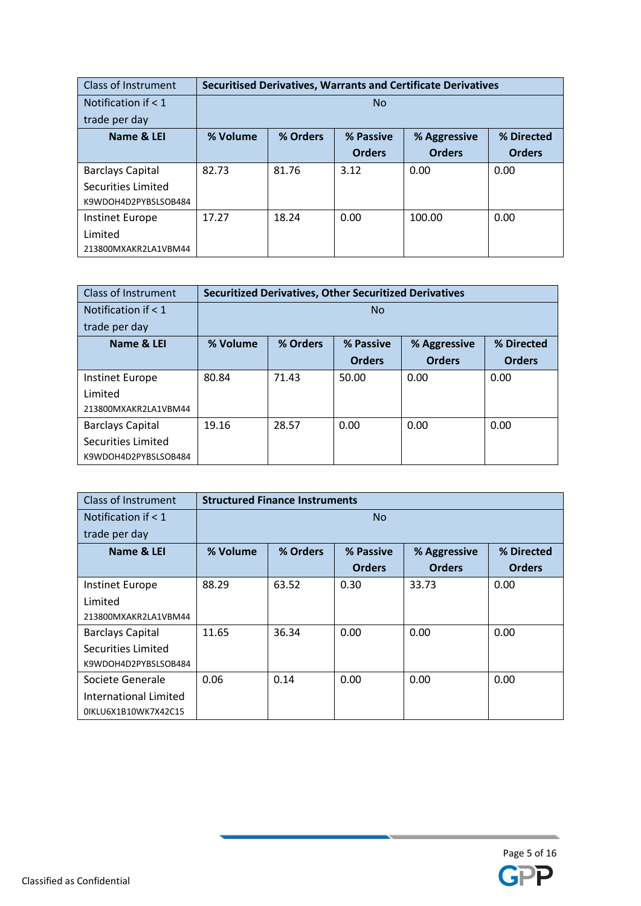| <b>Class of Instrument</b> |          | <b>Securitised Derivatives, Warrants and Certificate Derivatives</b> |               |               |               |  |  |
|----------------------------|----------|----------------------------------------------------------------------|---------------|---------------|---------------|--|--|
| Notification if $< 1$      |          | <b>No</b>                                                            |               |               |               |  |  |
| trade per day              |          |                                                                      |               |               |               |  |  |
| Name & LEI                 | % Volume | % Orders                                                             | % Passive     | % Aggressive  | % Directed    |  |  |
|                            |          |                                                                      | <b>Orders</b> | <b>Orders</b> | <b>Orders</b> |  |  |
| <b>Barclays Capital</b>    | 82.73    | 81.76                                                                | 3.12          | 0.00          | 0.00          |  |  |
| Securities Limited         |          |                                                                      |               |               |               |  |  |
| K9WDOH4D2PYBSLSOB484       |          |                                                                      |               |               |               |  |  |
| Instinet Europe            | 17.27    | 18.24                                                                | 0.00          | 100.00        | 0.00          |  |  |
| Limited                    |          |                                                                      |               |               |               |  |  |
| 213800MXAKR2LA1VBM44       |          |                                                                      |               |               |               |  |  |

| Class of Instrument     | <b>Securitized Derivatives, Other Securitized Derivatives</b> |                |               |               |               |  |
|-------------------------|---------------------------------------------------------------|----------------|---------------|---------------|---------------|--|
| Notification if $< 1$   |                                                               | N <sub>o</sub> |               |               |               |  |
| trade per day           |                                                               |                |               |               |               |  |
| Name & LEI              | % Volume                                                      | % Orders       | % Passive     | % Aggressive  | % Directed    |  |
|                         |                                                               |                | <b>Orders</b> | <b>Orders</b> | <b>Orders</b> |  |
| Instinet Europe         | 80.84                                                         | 71.43          | 50.00         | 0.00          | 0.00          |  |
| Limited                 |                                                               |                |               |               |               |  |
| 213800MXAKR2LA1VBM44    |                                                               |                |               |               |               |  |
| <b>Barclays Capital</b> | 19.16                                                         | 28.57          | 0.00          | 0.00          | 0.00          |  |
| Securities Limited      |                                                               |                |               |               |               |  |
| K9WDOH4D2PYBSLSOB484    |                                                               |                |               |               |               |  |

| <b>Class of Instrument</b>   |           | <b>Structured Finance Instruments</b> |               |               |               |  |  |
|------------------------------|-----------|---------------------------------------|---------------|---------------|---------------|--|--|
| Notification if $< 1$        | <b>No</b> |                                       |               |               |               |  |  |
| trade per day                |           |                                       |               |               |               |  |  |
| Name & LEI                   | % Volume  | % Orders                              | % Passive     | % Aggressive  | % Directed    |  |  |
|                              |           |                                       | <b>Orders</b> | <b>Orders</b> | <b>Orders</b> |  |  |
| Instinet Europe              | 88.29     | 63.52                                 | 0.30          | 33.73         | 0.00          |  |  |
| Limited                      |           |                                       |               |               |               |  |  |
| 213800MXAKR2LA1VBM44         |           |                                       |               |               |               |  |  |
| <b>Barclays Capital</b>      | 11.65     | 36.34                                 | 0.00          | 0.00          | 0.00          |  |  |
| Securities Limited           |           |                                       |               |               |               |  |  |
| K9WDOH4D2PYBSLSOB484         |           |                                       |               |               |               |  |  |
| Societe Generale             | 0.06      | 0.14                                  | 0.00          | 0.00          | 0.00          |  |  |
| <b>International Limited</b> |           |                                       |               |               |               |  |  |
| 0IKLU6X1B10WK7X42C15         |           |                                       |               |               |               |  |  |

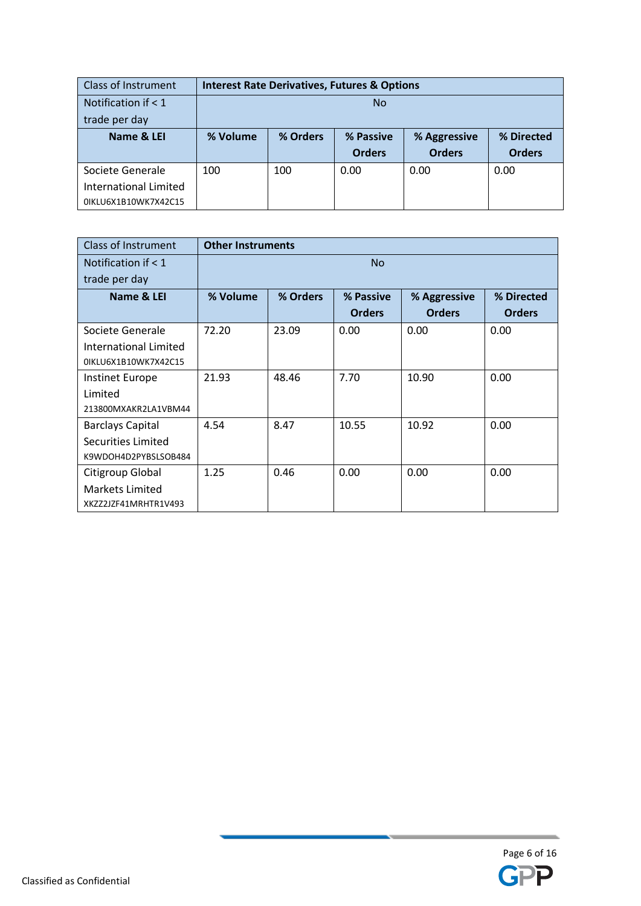| Class of Instrument   |          | <b>Interest Rate Derivatives, Futures &amp; Options</b> |               |               |               |  |  |
|-----------------------|----------|---------------------------------------------------------|---------------|---------------|---------------|--|--|
| Notification if $< 1$ | No       |                                                         |               |               |               |  |  |
| trade per day         |          |                                                         |               |               |               |  |  |
| Name & LEI            | % Volume | % Orders                                                | % Passive     | % Aggressive  | % Directed    |  |  |
|                       |          |                                                         | <b>Orders</b> | <b>Orders</b> | <b>Orders</b> |  |  |
| Societe Generale      | 100      | 100                                                     | 0.00          | 0.00          | 0.00          |  |  |
| International Limited |          |                                                         |               |               |               |  |  |
| 0IKLU6X1B10WK7X42C15  |          |                                                         |               |               |               |  |  |

| <b>Class of Instrument</b> |          | <b>Other Instruments</b> |               |               |               |  |  |
|----------------------------|----------|--------------------------|---------------|---------------|---------------|--|--|
| Notification if $<$ 1      |          | <b>No</b>                |               |               |               |  |  |
| trade per day              |          |                          |               |               |               |  |  |
| Name & LEI                 | % Volume | % Orders                 | % Passive     | % Aggressive  | % Directed    |  |  |
|                            |          |                          | <b>Orders</b> | <b>Orders</b> | <b>Orders</b> |  |  |
| Societe Generale           | 72.20    | 23.09                    | 0.00          | 0.00          | 0.00          |  |  |
| International Limited      |          |                          |               |               |               |  |  |
| 0IKLU6X1B10WK7X42C15       |          |                          |               |               |               |  |  |
| Instinet Europe            | 21.93    | 48.46                    | 7.70          | 10.90         | 0.00          |  |  |
| Limited                    |          |                          |               |               |               |  |  |
| 213800MXAKR2LA1VBM44       |          |                          |               |               |               |  |  |
| <b>Barclays Capital</b>    | 4.54     | 8.47                     | 10.55         | 10.92         | 0.00          |  |  |
| Securities Limited         |          |                          |               |               |               |  |  |
| K9WDOH4D2PYBSLSOB484       |          |                          |               |               |               |  |  |
| Citigroup Global           | 1.25     | 0.46                     | 0.00          | 0.00          | 0.00          |  |  |
| <b>Markets Limited</b>     |          |                          |               |               |               |  |  |
| XKZZ2JZF41MRHTR1V493       |          |                          |               |               |               |  |  |

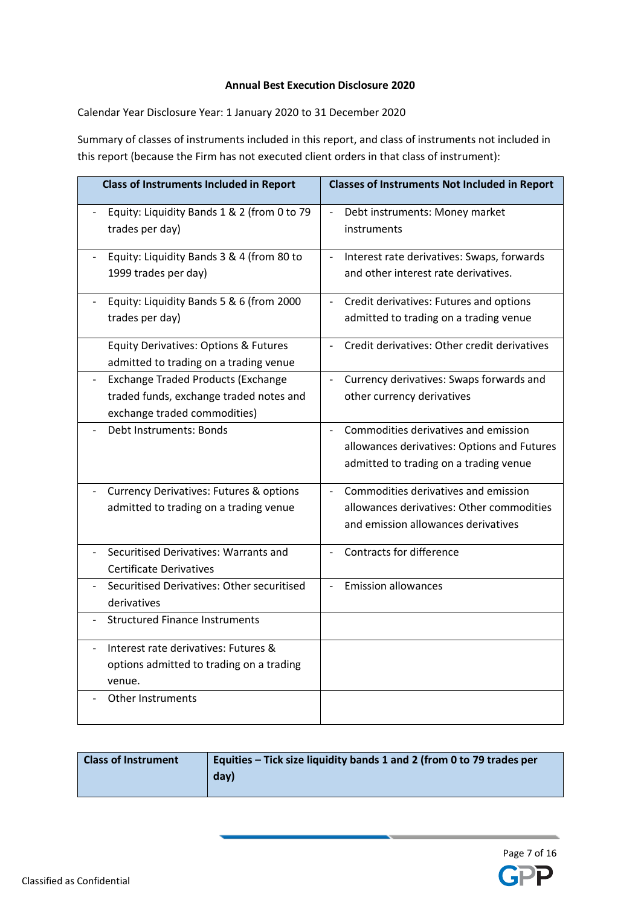#### **Annual Best Execution Disclosure 2020**

Calendar Year Disclosure Year: 1 January 2020 to 31 December 2020

Summary of classes of instruments included in this report, and class of instruments not included in this report (because the Firm has not executed client orders in that class of instrument):

| <b>Class of Instruments Included in Report</b>                                                                                                   | <b>Classes of Instruments Not Included in Report</b>                                                                                                      |
|--------------------------------------------------------------------------------------------------------------------------------------------------|-----------------------------------------------------------------------------------------------------------------------------------------------------------|
| Equity: Liquidity Bands 1 & 2 (from 0 to 79<br>$\qquad \qquad \blacksquare$<br>trades per day)                                                   | $\overline{\phantom{a}}$<br>Debt instruments: Money market<br>instruments                                                                                 |
| Equity: Liquidity Bands 3 & 4 (from 80 to<br>$\overline{\phantom{0}}$<br>1999 trades per day)                                                    | Interest rate derivatives: Swaps, forwards<br>$\blacksquare$<br>and other interest rate derivatives.                                                      |
| Equity: Liquidity Bands 5 & 6 (from 2000<br>trades per day)                                                                                      | Credit derivatives: Futures and options<br>$\blacksquare$<br>admitted to trading on a trading venue                                                       |
| Equity Derivatives: Options & Futures<br>admitted to trading on a trading venue                                                                  | Credit derivatives: Other credit derivatives                                                                                                              |
| <b>Exchange Traded Products (Exchange</b><br>$\overline{\phantom{0}}$<br>traded funds, exchange traded notes and<br>exchange traded commodities) | Currency derivatives: Swaps forwards and<br>$\overline{\phantom{a}}$<br>other currency derivatives                                                        |
| Debt Instruments: Bonds                                                                                                                          | Commodities derivatives and emission<br>$\overline{\phantom{a}}$<br>allowances derivatives: Options and Futures<br>admitted to trading on a trading venue |
| <b>Currency Derivatives: Futures &amp; options</b><br>admitted to trading on a trading venue                                                     | Commodities derivatives and emission<br>$\overline{\phantom{a}}$<br>allowances derivatives: Other commodities<br>and emission allowances derivatives      |
| Securitised Derivatives: Warrants and<br>$\overline{a}$<br><b>Certificate Derivatives</b>                                                        | Contracts for difference                                                                                                                                  |
| Securitised Derivatives: Other securitised<br>derivatives                                                                                        | <b>Emission allowances</b><br>$\overline{a}$                                                                                                              |
| <b>Structured Finance Instruments</b>                                                                                                            |                                                                                                                                                           |
| Interest rate derivatives: Futures &<br>$\overline{\phantom{a}}$<br>options admitted to trading on a trading<br>venue.                           |                                                                                                                                                           |
| <b>Other Instruments</b>                                                                                                                         |                                                                                                                                                           |

| <b>Class of Instrument</b> | Equities - Tick size liquidity bands 1 and 2 (from 0 to 79 trades per |
|----------------------------|-----------------------------------------------------------------------|
|                            | day)                                                                  |
|                            |                                                                       |

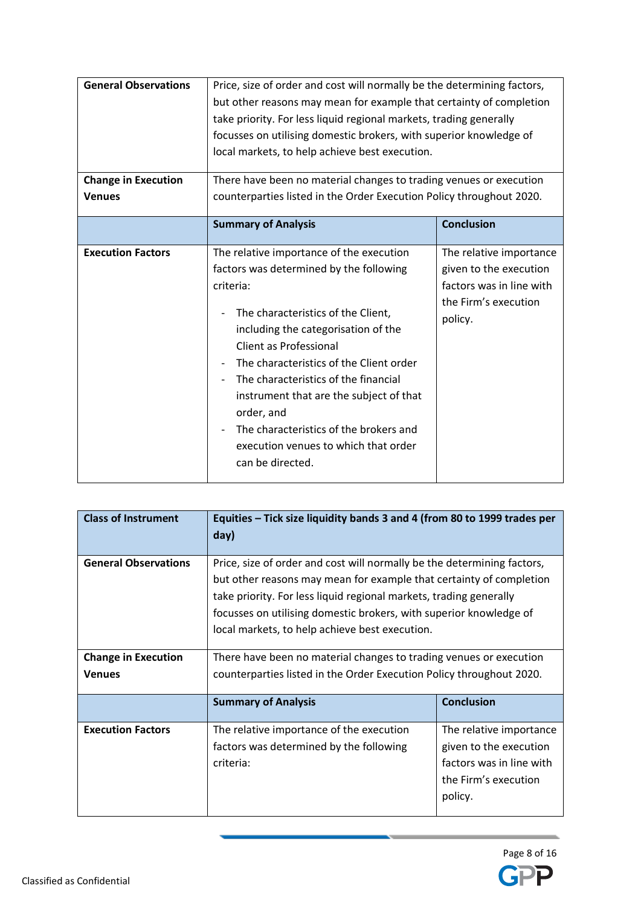| <b>General Observations</b><br><b>Change in Execution</b><br><b>Venues</b> | Price, size of order and cost will normally be the determining factors,<br>but other reasons may mean for example that certainty of completion<br>take priority. For less liquid regional markets, trading generally<br>focusses on utilising domestic brokers, with superior knowledge of<br>local markets, to help achieve best execution.<br>There have been no material changes to trading venues or execution<br>counterparties listed in the Order Execution Policy throughout 2020. |                                                                                                                  |
|----------------------------------------------------------------------------|--------------------------------------------------------------------------------------------------------------------------------------------------------------------------------------------------------------------------------------------------------------------------------------------------------------------------------------------------------------------------------------------------------------------------------------------------------------------------------------------|------------------------------------------------------------------------------------------------------------------|
|                                                                            |                                                                                                                                                                                                                                                                                                                                                                                                                                                                                            |                                                                                                                  |
|                                                                            | <b>Summary of Analysis</b>                                                                                                                                                                                                                                                                                                                                                                                                                                                                 | <b>Conclusion</b>                                                                                                |
| <b>Execution Factors</b>                                                   | The relative importance of the execution<br>factors was determined by the following<br>criteria:<br>The characteristics of the Client,<br>including the categorisation of the<br><b>Client as Professional</b><br>The characteristics of the Client order<br>The characteristics of the financial<br>instrument that are the subject of that<br>order, and<br>The characteristics of the brokers and<br>execution venues to which that order<br>can be directed.                           | The relative importance<br>given to the execution<br>factors was in line with<br>the Firm's execution<br>policy. |

| <b>Class of Instrument</b>  | Equities - Tick size liquidity bands 3 and 4 (from 80 to 1999 trades per<br>day)                                                                                                                                                                                                                                                             |                                                                                                                  |
|-----------------------------|----------------------------------------------------------------------------------------------------------------------------------------------------------------------------------------------------------------------------------------------------------------------------------------------------------------------------------------------|------------------------------------------------------------------------------------------------------------------|
| <b>General Observations</b> | Price, size of order and cost will normally be the determining factors,<br>but other reasons may mean for example that certainty of completion<br>take priority. For less liquid regional markets, trading generally<br>focusses on utilising domestic brokers, with superior knowledge of<br>local markets, to help achieve best execution. |                                                                                                                  |
| <b>Change in Execution</b>  | There have been no material changes to trading venues or execution                                                                                                                                                                                                                                                                           |                                                                                                                  |
| <b>Venues</b>               | counterparties listed in the Order Execution Policy throughout 2020.                                                                                                                                                                                                                                                                         |                                                                                                                  |
|                             | <b>Summary of Analysis</b>                                                                                                                                                                                                                                                                                                                   | <b>Conclusion</b>                                                                                                |
| <b>Execution Factors</b>    | The relative importance of the execution<br>factors was determined by the following<br>criteria:                                                                                                                                                                                                                                             | The relative importance<br>given to the execution<br>factors was in line with<br>the Firm's execution<br>policy. |

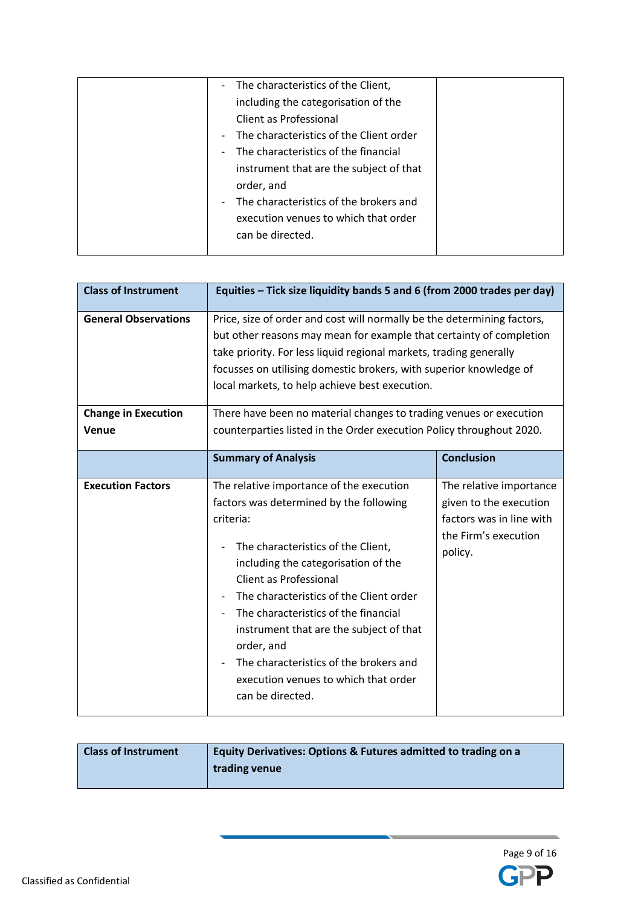| The characteristics of the Client,<br>$\sim$                        |  |
|---------------------------------------------------------------------|--|
| including the categorisation of the                                 |  |
| Client as Professional                                              |  |
| The characteristics of the Client order<br>$\overline{\phantom{a}}$ |  |
| The characteristics of the financial<br>$\overline{\phantom{a}}$    |  |
| instrument that are the subject of that                             |  |
| order, and                                                          |  |
| The characteristics of the brokers and<br>$\overline{\phantom{a}}$  |  |
| execution venues to which that order                                |  |
| can be directed.                                                    |  |
|                                                                     |  |

| <b>Class of Instrument</b>          | Equities - Tick size liquidity bands 5 and 6 (from 2000 trades per day)                                                                                                                                                                                                                                                                                                                                                                                          |                                                                                                                  |
|-------------------------------------|------------------------------------------------------------------------------------------------------------------------------------------------------------------------------------------------------------------------------------------------------------------------------------------------------------------------------------------------------------------------------------------------------------------------------------------------------------------|------------------------------------------------------------------------------------------------------------------|
| <b>General Observations</b>         | Price, size of order and cost will normally be the determining factors,<br>but other reasons may mean for example that certainty of completion<br>take priority. For less liquid regional markets, trading generally<br>focusses on utilising domestic brokers, with superior knowledge of<br>local markets, to help achieve best execution.                                                                                                                     |                                                                                                                  |
| <b>Change in Execution</b><br>Venue | There have been no material changes to trading venues or execution<br>counterparties listed in the Order execution Policy throughout 2020.                                                                                                                                                                                                                                                                                                                       |                                                                                                                  |
|                                     | <b>Summary of Analysis</b>                                                                                                                                                                                                                                                                                                                                                                                                                                       | <b>Conclusion</b>                                                                                                |
| <b>Execution Factors</b>            | The relative importance of the execution<br>factors was determined by the following<br>criteria:<br>The characteristics of the Client,<br>including the categorisation of the<br><b>Client as Professional</b><br>The characteristics of the Client order<br>The characteristics of the financial<br>instrument that are the subject of that<br>order, and<br>The characteristics of the brokers and<br>execution venues to which that order<br>can be directed. | The relative importance<br>given to the execution<br>factors was in line with<br>the Firm's execution<br>policy. |

| <b>Class of Instrument</b><br>Equity Derivatives: Options & Futures admitted to trading on a<br>trading venue |
|---------------------------------------------------------------------------------------------------------------|
|---------------------------------------------------------------------------------------------------------------|

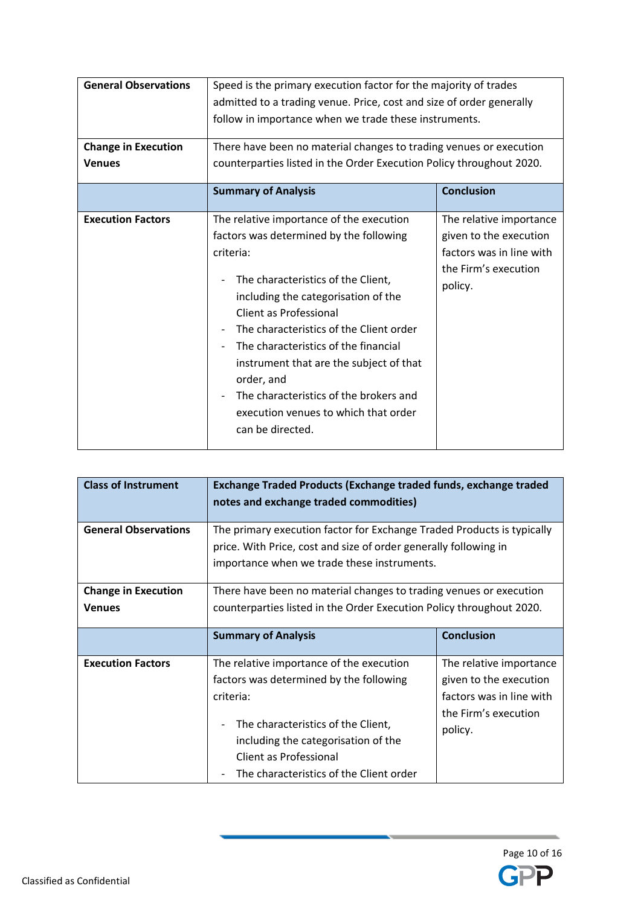| <b>General Observations</b>                 | Speed is the primary execution factor for the majority of trades<br>admitted to a trading venue. Price, cost and size of order generally                                                                                                                                                                                                                                                                                                                                              |                                                                                                                  |
|---------------------------------------------|---------------------------------------------------------------------------------------------------------------------------------------------------------------------------------------------------------------------------------------------------------------------------------------------------------------------------------------------------------------------------------------------------------------------------------------------------------------------------------------|------------------------------------------------------------------------------------------------------------------|
|                                             | follow in importance when we trade these instruments.                                                                                                                                                                                                                                                                                                                                                                                                                                 |                                                                                                                  |
| <b>Change in Execution</b><br><b>Venues</b> | There have been no material changes to trading venues or execution<br>counterparties listed in the Order Execution Policy throughout 2020.                                                                                                                                                                                                                                                                                                                                            |                                                                                                                  |
|                                             | <b>Summary of Analysis</b>                                                                                                                                                                                                                                                                                                                                                                                                                                                            | <b>Conclusion</b>                                                                                                |
| <b>Execution Factors</b>                    | The relative importance of the execution<br>factors was determined by the following<br>criteria:<br>The characteristics of the Client,<br>including the categorisation of the<br>Client as Professional<br>The characteristics of the Client order<br>The characteristics of the financial<br>$\overline{\phantom{a}}$<br>instrument that are the subject of that<br>order, and<br>The characteristics of the brokers and<br>execution venues to which that order<br>can be directed. | The relative importance<br>given to the execution<br>factors was in line with<br>the Firm's execution<br>policy. |

| <b>Class of Instrument</b>  | Exchange Traded Products (Exchange traded funds, exchange traded<br>notes and exchange traded commodities)                                                                                |                   |
|-----------------------------|-------------------------------------------------------------------------------------------------------------------------------------------------------------------------------------------|-------------------|
| <b>General Observations</b> | The primary execution factor for Exchange Traded Products is typically<br>price. With Price, cost and size of order generally following in<br>importance when we trade these instruments. |                   |
| <b>Change in Execution</b>  | There have been no material changes to trading venues or execution                                                                                                                        |                   |
| <b>Venues</b>               | counterparties listed in the Order Execution Policy throughout 2020.                                                                                                                      |                   |
|                             | <b>Summary of Analysis</b>                                                                                                                                                                | <b>Conclusion</b> |
|                             |                                                                                                                                                                                           |                   |

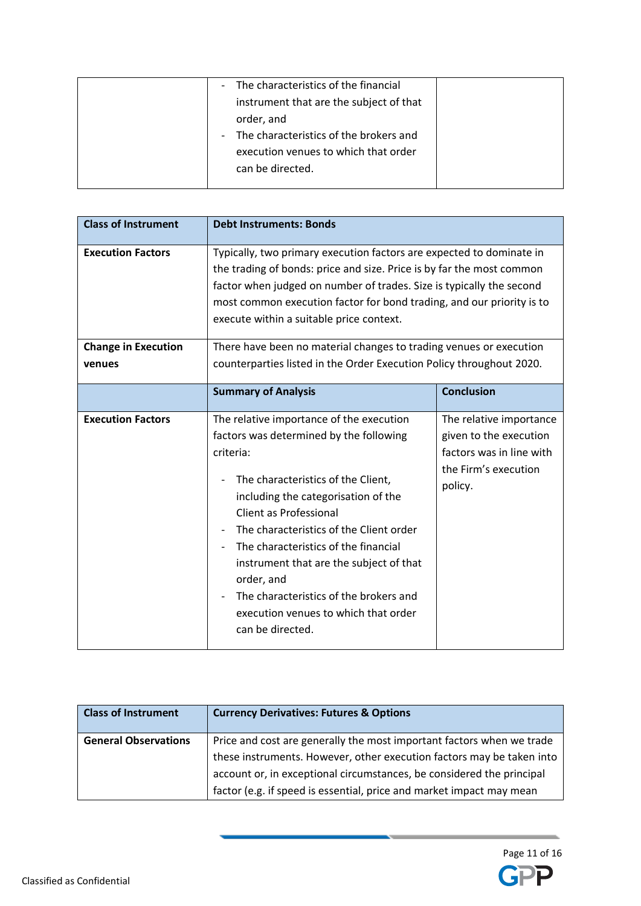| The characteristics of the financial<br>$\overline{\phantom{a}}$<br>instrument that are the subject of that<br>order, and<br>The characteristics of the brokers and<br>$\overline{\phantom{a}}$<br>execution venues to which that order |  |
|-----------------------------------------------------------------------------------------------------------------------------------------------------------------------------------------------------------------------------------------|--|
| can be directed.                                                                                                                                                                                                                        |  |

| <b>Class of Instrument</b> | <b>Debt Instruments: Bonds</b>                                                                                                                                                                                                                                                                                                                                                                                                                            |                                                                                                                  |
|----------------------------|-----------------------------------------------------------------------------------------------------------------------------------------------------------------------------------------------------------------------------------------------------------------------------------------------------------------------------------------------------------------------------------------------------------------------------------------------------------|------------------------------------------------------------------------------------------------------------------|
| <b>Execution Factors</b>   | Typically, two primary execution factors are expected to dominate in<br>the trading of bonds: price and size. Price is by far the most common<br>factor when judged on number of trades. Size is typically the second<br>most common execution factor for bond trading, and our priority is to<br>execute within a suitable price context.                                                                                                                |                                                                                                                  |
| <b>Change in Execution</b> | There have been no material changes to trading venues or execution                                                                                                                                                                                                                                                                                                                                                                                        |                                                                                                                  |
| venues                     | counterparties listed in the Order Execution Policy throughout 2020.                                                                                                                                                                                                                                                                                                                                                                                      |                                                                                                                  |
|                            | <b>Summary of Analysis</b>                                                                                                                                                                                                                                                                                                                                                                                                                                | <b>Conclusion</b>                                                                                                |
| <b>Execution Factors</b>   | The relative importance of the execution<br>factors was determined by the following<br>criteria:<br>The characteristics of the Client,<br>including the categorisation of the<br>Client as Professional<br>The characteristics of the Client order<br>The characteristics of the financial<br>instrument that are the subject of that<br>order, and<br>The characteristics of the brokers and<br>execution venues to which that order<br>can be directed. | The relative importance<br>given to the execution<br>factors was in line with<br>the Firm's execution<br>policy. |

| <b>Class of Instrument</b>  | <b>Currency Derivatives: Futures &amp; Options</b>                                                                                                                                                                                                                                              |
|-----------------------------|-------------------------------------------------------------------------------------------------------------------------------------------------------------------------------------------------------------------------------------------------------------------------------------------------|
| <b>General Observations</b> | Price and cost are generally the most important factors when we trade<br>these instruments. However, other execution factors may be taken into<br>account or, in exceptional circumstances, be considered the principal<br>factor (e.g. if speed is essential, price and market impact may mean |

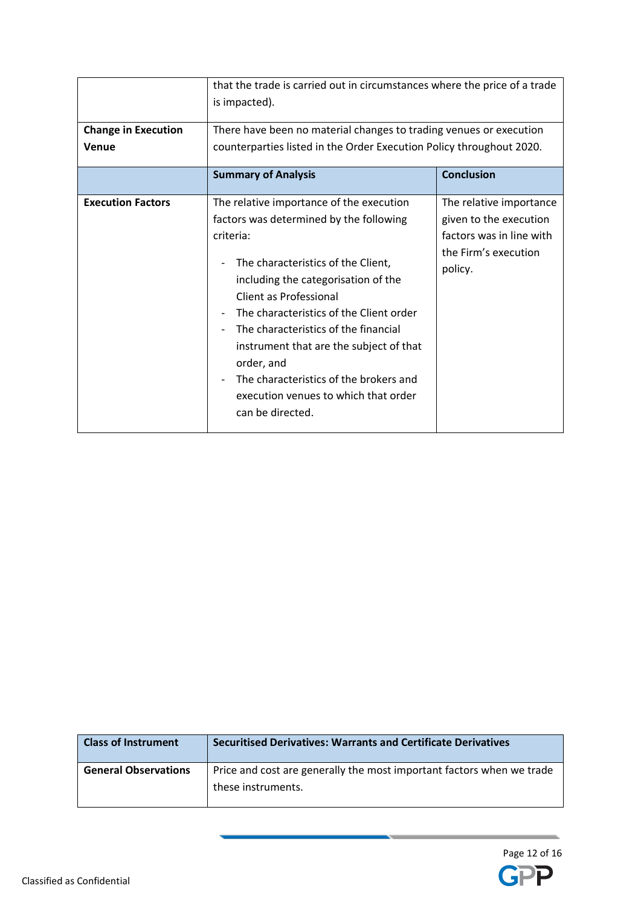| <b>Change in Execution</b> | that the trade is carried out in circumstances where the price of a trade<br>is impacted).<br>There have been no material changes to trading venues or execution                                                                                                                                                                                                                                                                                          |                                                                                                                  |
|----------------------------|-----------------------------------------------------------------------------------------------------------------------------------------------------------------------------------------------------------------------------------------------------------------------------------------------------------------------------------------------------------------------------------------------------------------------------------------------------------|------------------------------------------------------------------------------------------------------------------|
| Venue                      | counterparties listed in the Order Execution Policy throughout 2020.                                                                                                                                                                                                                                                                                                                                                                                      |                                                                                                                  |
|                            | <b>Summary of Analysis</b>                                                                                                                                                                                                                                                                                                                                                                                                                                | <b>Conclusion</b>                                                                                                |
| <b>Execution Factors</b>   | The relative importance of the execution<br>factors was determined by the following<br>criteria:<br>The characteristics of the Client,<br>including the categorisation of the<br>Client as Professional<br>The characteristics of the Client order<br>The characteristics of the financial<br>instrument that are the subject of that<br>order, and<br>The characteristics of the brokers and<br>execution venues to which that order<br>can be directed. | The relative importance<br>given to the execution<br>factors was in line with<br>the Firm's execution<br>policy. |

| <b>Class of Instrument</b>  | <b>Securitised Derivatives: Warrants and Certificate Derivatives</b>                        |
|-----------------------------|---------------------------------------------------------------------------------------------|
| <b>General Observations</b> | Price and cost are generally the most important factors when we trade<br>these instruments. |

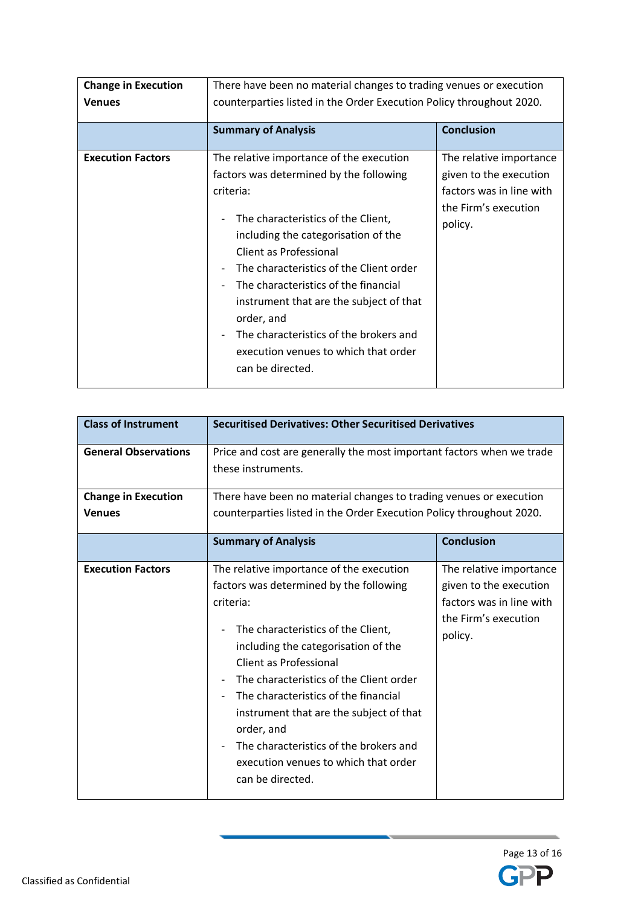| <b>Change in Execution</b><br><b>Venues</b> | There have been no material changes to trading venues or execution<br>counterparties listed in the Order Execution Policy throughout 2020.                                                                                                                                                                                                                                                                                                                |                                                                                                                  |
|---------------------------------------------|-----------------------------------------------------------------------------------------------------------------------------------------------------------------------------------------------------------------------------------------------------------------------------------------------------------------------------------------------------------------------------------------------------------------------------------------------------------|------------------------------------------------------------------------------------------------------------------|
|                                             |                                                                                                                                                                                                                                                                                                                                                                                                                                                           |                                                                                                                  |
|                                             | <b>Summary of Analysis</b>                                                                                                                                                                                                                                                                                                                                                                                                                                | <b>Conclusion</b>                                                                                                |
| <b>Execution Factors</b>                    | The relative importance of the execution<br>factors was determined by the following<br>criteria:<br>The characteristics of the Client,<br>including the categorisation of the<br>Client as Professional<br>The characteristics of the Client order<br>The characteristics of the financial<br>instrument that are the subject of that<br>order, and<br>The characteristics of the brokers and<br>execution venues to which that order<br>can be directed. | The relative importance<br>given to the execution<br>factors was in line with<br>the Firm's execution<br>policy. |

| <b>Class of Instrument</b>                  | <b>Securitised Derivatives: Other Securitised Derivatives</b>                                                                                                                                                                                                                                                                                                                                                                                                                      |                                                                                                                  |
|---------------------------------------------|------------------------------------------------------------------------------------------------------------------------------------------------------------------------------------------------------------------------------------------------------------------------------------------------------------------------------------------------------------------------------------------------------------------------------------------------------------------------------------|------------------------------------------------------------------------------------------------------------------|
| <b>General Observations</b>                 | Price and cost are generally the most important factors when we trade<br>these instruments.                                                                                                                                                                                                                                                                                                                                                                                        |                                                                                                                  |
| <b>Change in Execution</b><br><b>Venues</b> | There have been no material changes to trading venues or execution                                                                                                                                                                                                                                                                                                                                                                                                                 |                                                                                                                  |
|                                             | counterparties listed in the Order Execution Policy throughout 2020.                                                                                                                                                                                                                                                                                                                                                                                                               |                                                                                                                  |
|                                             | <b>Summary of Analysis</b>                                                                                                                                                                                                                                                                                                                                                                                                                                                         | <b>Conclusion</b>                                                                                                |
| <b>Execution Factors</b>                    | The relative importance of the execution<br>factors was determined by the following<br>criteria:<br>The characteristics of the Client,<br>including the categorisation of the<br><b>Client as Professional</b><br>The characteristics of the Client order<br>The characteristics of the financial<br>$\overline{a}$<br>instrument that are the subject of that<br>order, and<br>The characteristics of the brokers and<br>execution venues to which that order<br>can be directed. | The relative importance<br>given to the execution<br>factors was in line with<br>the Firm's execution<br>policy. |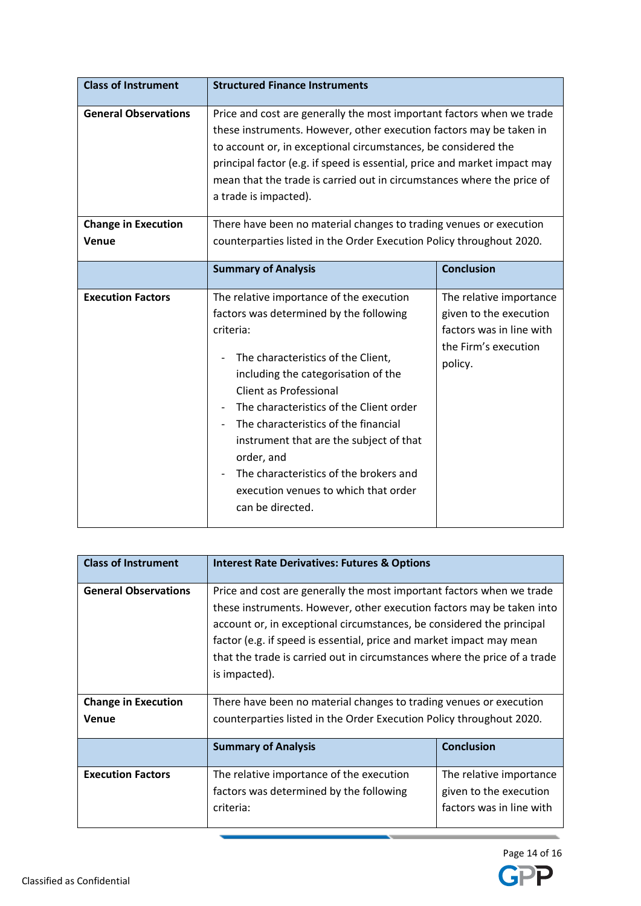| <b>Class of Instrument</b>  | <b>Structured Finance Instruments</b>                                                                                                                                                                                                                                                                                                                                                                                                                            |                                                                                                                  |
|-----------------------------|------------------------------------------------------------------------------------------------------------------------------------------------------------------------------------------------------------------------------------------------------------------------------------------------------------------------------------------------------------------------------------------------------------------------------------------------------------------|------------------------------------------------------------------------------------------------------------------|
| <b>General Observations</b> | Price and cost are generally the most important factors when we trade<br>these instruments. However, other execution factors may be taken in<br>to account or, in exceptional circumstances, be considered the<br>principal factor (e.g. if speed is essential, price and market impact may<br>mean that the trade is carried out in circumstances where the price of<br>a trade is impacted).                                                                   |                                                                                                                  |
| <b>Change in Execution</b>  | There have been no material changes to trading venues or execution                                                                                                                                                                                                                                                                                                                                                                                               |                                                                                                                  |
| Venue                       | counterparties listed in the Order Execution Policy throughout 2020.                                                                                                                                                                                                                                                                                                                                                                                             |                                                                                                                  |
|                             | <b>Summary of Analysis</b>                                                                                                                                                                                                                                                                                                                                                                                                                                       | <b>Conclusion</b>                                                                                                |
| <b>Execution Factors</b>    | The relative importance of the execution<br>factors was determined by the following<br>criteria:<br>The characteristics of the Client,<br>including the categorisation of the<br><b>Client as Professional</b><br>The characteristics of the Client order<br>The characteristics of the financial<br>instrument that are the subject of that<br>order, and<br>The characteristics of the brokers and<br>execution venues to which that order<br>can be directed. | The relative importance<br>given to the execution<br>factors was in line with<br>the Firm's execution<br>policy. |

| <b>Class of Instrument</b>  | <b>Interest Rate Derivatives: Futures &amp; Options</b>                   |                          |  |
|-----------------------------|---------------------------------------------------------------------------|--------------------------|--|
| <b>General Observations</b> | Price and cost are generally the most important factors when we trade     |                          |  |
|                             | these instruments. However, other execution factors may be taken into     |                          |  |
|                             | account or, in exceptional circumstances, be considered the principal     |                          |  |
|                             | factor (e.g. if speed is essential, price and market impact may mean      |                          |  |
|                             | that the trade is carried out in circumstances where the price of a trade |                          |  |
|                             | is impacted).                                                             |                          |  |
|                             |                                                                           |                          |  |
| <b>Change in Execution</b>  | There have been no material changes to trading venues or execution        |                          |  |
| <b>Venue</b>                | counterparties listed in the Order Execution Policy throughout 2020.      |                          |  |
|                             |                                                                           |                          |  |
|                             | <b>Summary of Analysis</b>                                                | <b>Conclusion</b>        |  |
| <b>Execution Factors</b>    | The relative importance of the execution                                  | The relative importance  |  |
|                             | factors was determined by the following                                   | given to the execution   |  |
|                             | criteria:                                                                 | factors was in line with |  |

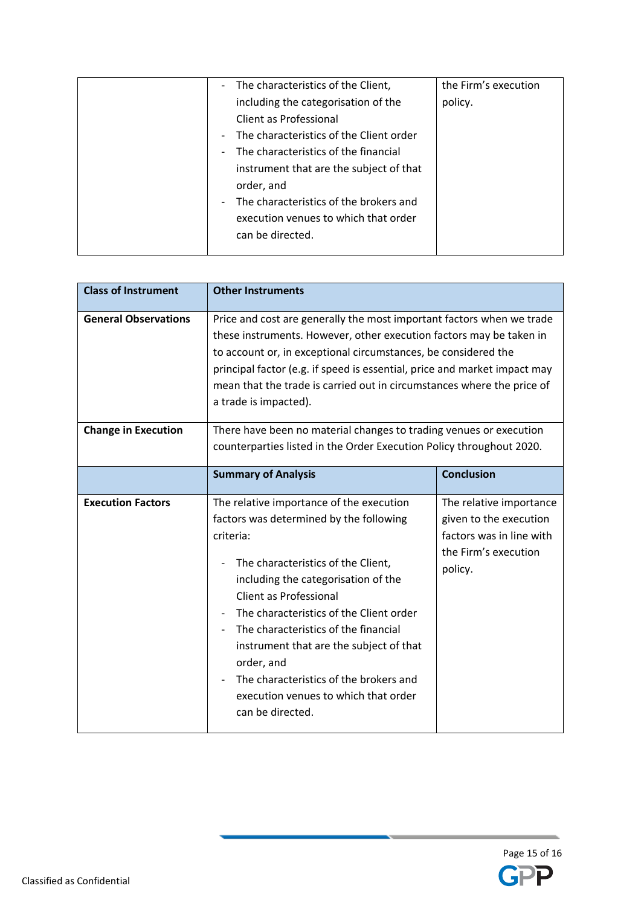| The characteristics of the Client,<br>$\overline{\phantom{a}}$      | the Firm's execution |
|---------------------------------------------------------------------|----------------------|
| including the categorisation of the                                 | policy.              |
| Client as Professional                                              |                      |
| The characteristics of the Client order<br>$\overline{\phantom{a}}$ |                      |
| The characteristics of the financial<br>$\overline{\phantom{a}}$    |                      |
| instrument that are the subject of that                             |                      |
| order, and                                                          |                      |
| The characteristics of the brokers and<br>$\overline{\phantom{a}}$  |                      |
| execution venues to which that order                                |                      |
| can be directed.                                                    |                      |
|                                                                     |                      |

| <b>Class of Instrument</b>  | <b>Other Instruments</b>                                                                                                                                                                                                                                                                                                                                                                                                                                         |                                                                                                                  |
|-----------------------------|------------------------------------------------------------------------------------------------------------------------------------------------------------------------------------------------------------------------------------------------------------------------------------------------------------------------------------------------------------------------------------------------------------------------------------------------------------------|------------------------------------------------------------------------------------------------------------------|
| <b>General Observations</b> | Price and cost are generally the most important factors when we trade<br>these instruments. However, other execution factors may be taken in<br>to account or, in exceptional circumstances, be considered the<br>principal factor (e.g. if speed is essential, price and market impact may<br>mean that the trade is carried out in circumstances where the price of<br>a trade is impacted).                                                                   |                                                                                                                  |
| <b>Change in Execution</b>  | There have been no material changes to trading venues or execution<br>counterparties listed in the Order Execution Policy throughout 2020.                                                                                                                                                                                                                                                                                                                       |                                                                                                                  |
|                             | <b>Summary of Analysis</b>                                                                                                                                                                                                                                                                                                                                                                                                                                       | <b>Conclusion</b>                                                                                                |
| <b>Execution Factors</b>    | The relative importance of the execution<br>factors was determined by the following<br>criteria:<br>The characteristics of the Client,<br>including the categorisation of the<br><b>Client as Professional</b><br>The characteristics of the Client order<br>The characteristics of the financial<br>instrument that are the subject of that<br>order, and<br>The characteristics of the brokers and<br>execution venues to which that order<br>can be directed. | The relative importance<br>given to the execution<br>factors was in line with<br>the Firm's execution<br>policy. |